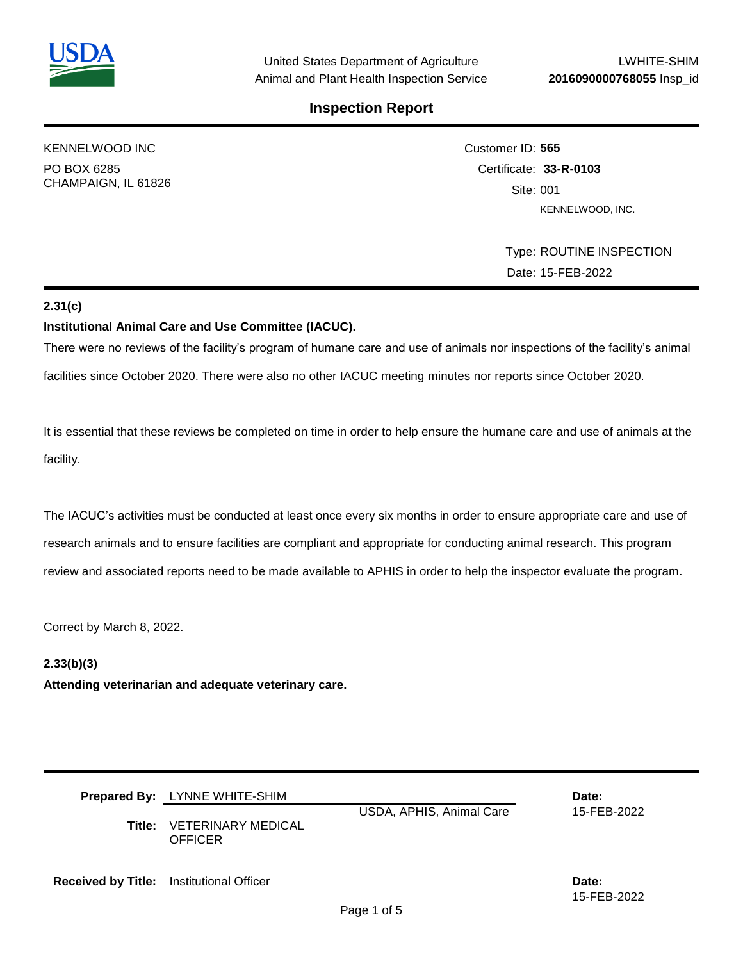

KENNELWOOD INC PO BOX 6285 CHAMPAIGN, IL 61826 Customer ID: **565** Certificate: **33-R-0103**  Site: 001 KENNELWOOD, INC.

> Type: ROUTINE INSPECTION Date: 15-FEB-2022

# **2.31(c)**

### **Institutional Animal Care and Use Committee (IACUC).**

There were no reviews of the facility's program of humane care and use of animals nor inspections of the facility's animal

facilities since October 2020. There were also no other IACUC meeting minutes nor reports since October 2020.

It is essential that these reviews be completed on time in order to help ensure the humane care and use of animals at the facility.

The IACUC's activities must be conducted at least once every six months in order to ensure appropriate care and use of research animals and to ensure facilities are compliant and appropriate for conducting animal research. This program review and associated reports need to be made available to APHIS in order to help the inspector evaluate the program.

Correct by March 8, 2022.

## **2.33(b)(3)**

**Attending veterinarian and adequate veterinary care.**

|                                                 | <b>Prepared By:</b> LYNNE WHITE-SHIM<br>Title: VETERINARY MEDICAL<br><b>OFFICER</b> | Date:<br>15-FEB-2022 |                      |
|-------------------------------------------------|-------------------------------------------------------------------------------------|----------------------|----------------------|
| <b>Received by Title:</b> Institutional Officer |                                                                                     |                      | Date:<br>15-FEB-2022 |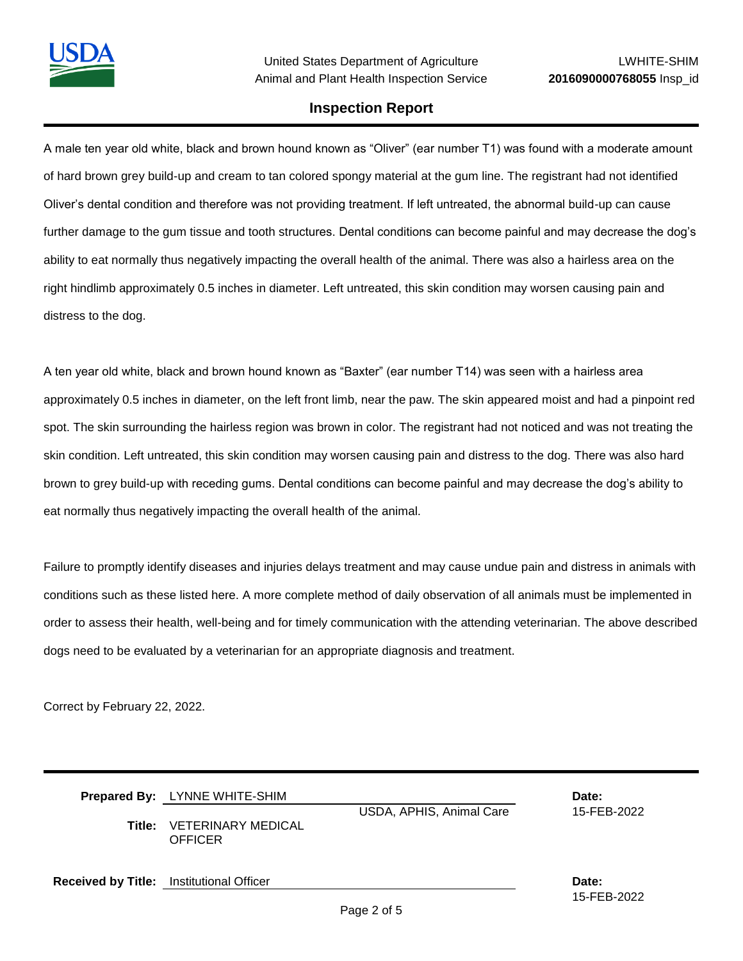A male ten year old white, black and brown hound known as "Oliver" (ear number T1) was found with a moderate amount of hard brown grey build-up and cream to tan colored spongy material at the gum line. The registrant had not identified Oliver's dental condition and therefore was not providing treatment. If left untreated, the abnormal build-up can cause further damage to the gum tissue and tooth structures. Dental conditions can become painful and may decrease the dog's ability to eat normally thus negatively impacting the overall health of the animal. There was also a hairless area on the right hindlimb approximately 0.5 inches in diameter. Left untreated, this skin condition may worsen causing pain and distress to the dog.

A ten year old white, black and brown hound known as "Baxter" (ear number T14) was seen with a hairless area approximately 0.5 inches in diameter, on the left front limb, near the paw. The skin appeared moist and had a pinpoint red spot. The skin surrounding the hairless region was brown in color. The registrant had not noticed and was not treating the skin condition. Left untreated, this skin condition may worsen causing pain and distress to the dog. There was also hard brown to grey build-up with receding gums. Dental conditions can become painful and may decrease the dog's ability to eat normally thus negatively impacting the overall health of the animal.

Failure to promptly identify diseases and injuries delays treatment and may cause undue pain and distress in animals with conditions such as these listed here. A more complete method of daily observation of all animals must be implemented in order to assess their health, well-being and for timely communication with the attending veterinarian. The above described dogs need to be evaluated by a veterinarian for an appropriate diagnosis and treatment.

Correct by February 22, 2022.

|                                                 | Prepared By: LYNNE WHITE-SHIM<br>USDA, APHIS, Animal Care<br><b>Title: VETERINARY MEDICAL</b><br>OFFICER |  | Date:<br>15-FEB-2022 |
|-------------------------------------------------|----------------------------------------------------------------------------------------------------------|--|----------------------|
| <b>Received by Title:</b> Institutional Officer |                                                                                                          |  | Date:                |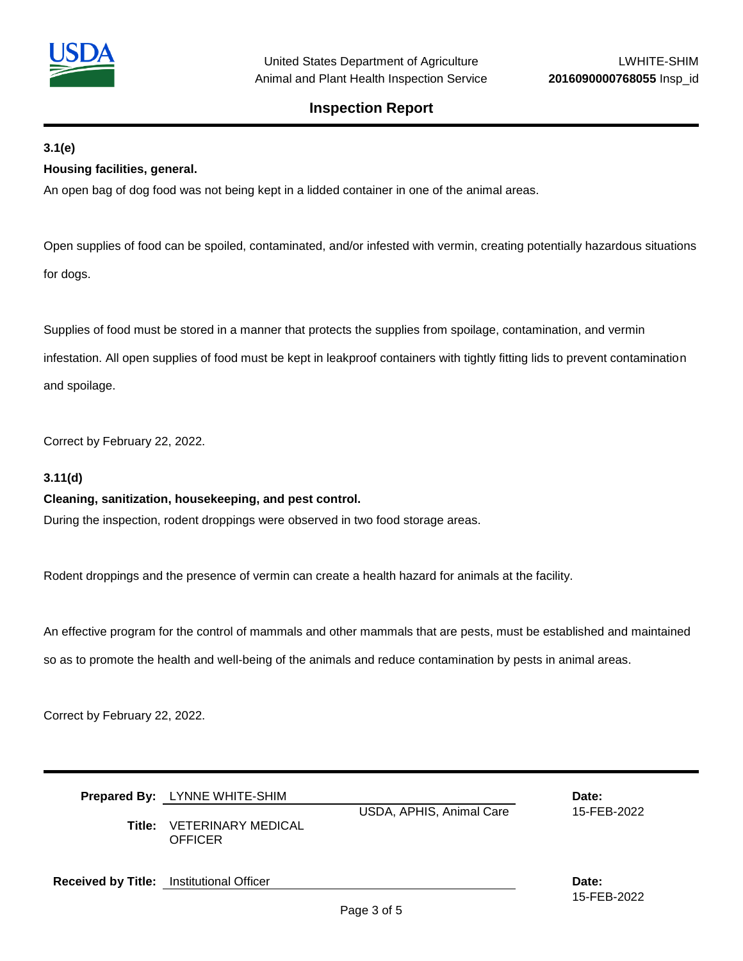

## **3.1(e)**

## **Housing facilities, general.**

An open bag of dog food was not being kept in a lidded container in one of the animal areas.

Open supplies of food can be spoiled, contaminated, and/or infested with vermin, creating potentially hazardous situations for dogs.

Supplies of food must be stored in a manner that protects the supplies from spoilage, contamination, and vermin

infestation. All open supplies of food must be kept in leakproof containers with tightly fitting lids to prevent contamination and spoilage.

Correct by February 22, 2022.

## **3.11(d)**

#### **Cleaning, sanitization, housekeeping, and pest control.**

During the inspection, rodent droppings were observed in two food storage areas.

Rodent droppings and the presence of vermin can create a health hazard for animals at the facility.

An effective program for the control of mammals and other mammals that are pests, must be established and maintained so as to promote the health and well-being of the animals and reduce contamination by pests in animal areas.

Correct by February 22, 2022.

|                                                 | Prepared By: LYNNE WHITE-SHIM<br>USDA, APHIS, Animal Care<br>Title: VETERINARY MEDICAL<br><b>OFFICER</b> |  | Date:<br>15-FEB-2022 |
|-------------------------------------------------|----------------------------------------------------------------------------------------------------------|--|----------------------|
| <b>Received by Title:</b> Institutional Officer |                                                                                                          |  | Date:<br>15-FEB-2022 |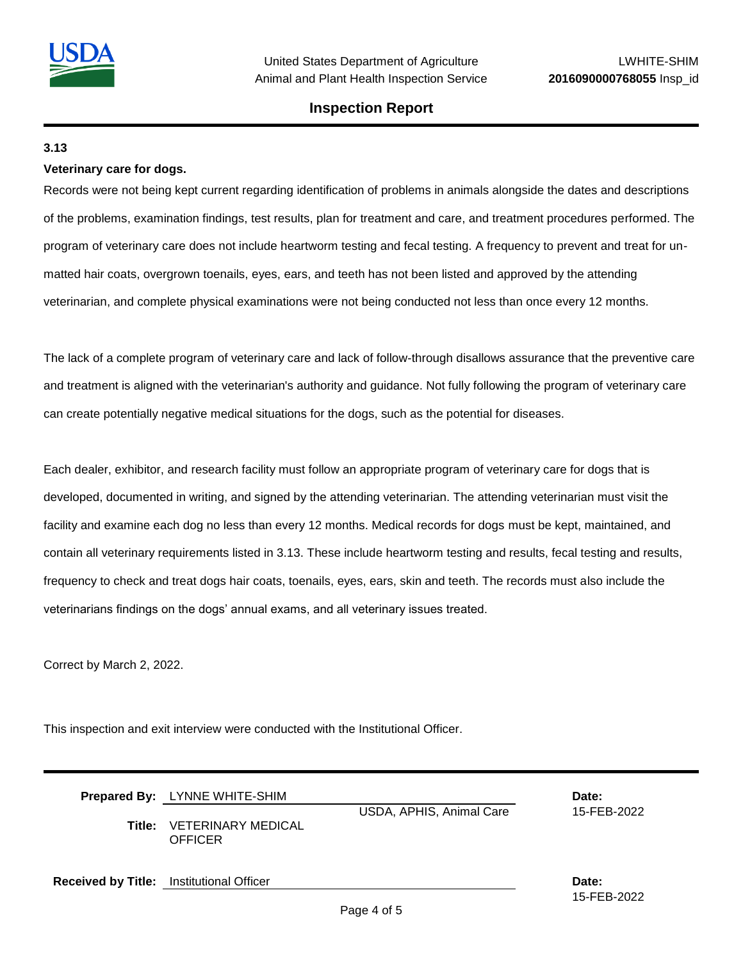

## **3.13**

#### **Veterinary care for dogs.**

Records were not being kept current regarding identification of problems in animals alongside the dates and descriptions of the problems, examination findings, test results, plan for treatment and care, and treatment procedures performed. The program of veterinary care does not include heartworm testing and fecal testing. A frequency to prevent and treat for unmatted hair coats, overgrown toenails, eyes, ears, and teeth has not been listed and approved by the attending veterinarian, and complete physical examinations were not being conducted not less than once every 12 months.

The lack of a complete program of veterinary care and lack of follow-through disallows assurance that the preventive care and treatment is aligned with the veterinarian's authority and guidance. Not fully following the program of veterinary care can create potentially negative medical situations for the dogs, such as the potential for diseases.

Each dealer, exhibitor, and research facility must follow an appropriate program of veterinary care for dogs that is developed, documented in writing, and signed by the attending veterinarian. The attending veterinarian must visit the facility and examine each dog no less than every 12 months. Medical records for dogs must be kept, maintained, and contain all veterinary requirements listed in 3.13. These include heartworm testing and results, fecal testing and results, frequency to check and treat dogs hair coats, toenails, eyes, ears, skin and teeth. The records must also include the veterinarians findings on the dogs' annual exams, and all veterinary issues treated.

Correct by March 2, 2022.

This inspection and exit interview were conducted with the Institutional Officer.

|                                                 | <b>Prepared By:</b> LYNNE WHITE-SHIM<br>USDA, APHIS, Animal Care<br><b>Title:</b> VETERINARY MEDICAL<br><b>OFFICER</b> |  | Date:<br>15-FEB-2022 |
|-------------------------------------------------|------------------------------------------------------------------------------------------------------------------------|--|----------------------|
| <b>Received by Title:</b> Institutional Officer |                                                                                                                        |  | Date:<br>15-FEB-2022 |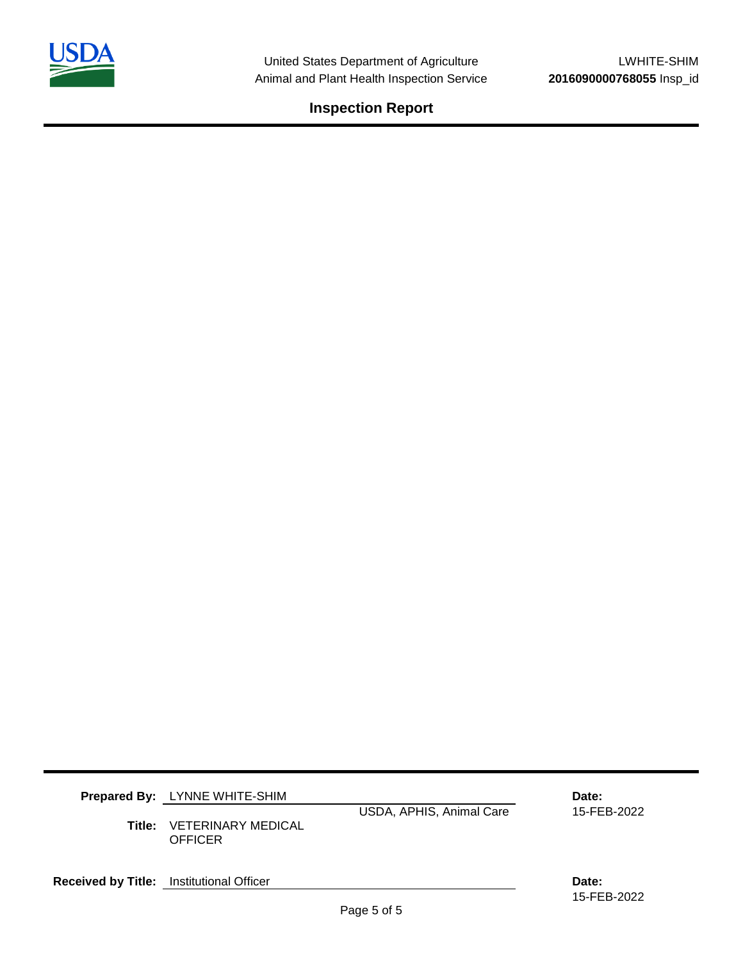

| Title: | <b>Prepared By:</b> LYNNE WHITE-SHIM<br>USDA, APHIS, Animal Care<br>VETERINARY MEDICAL<br><b>OFFICER</b> |  | Date:<br>15-FEB-2022 |
|--------|----------------------------------------------------------------------------------------------------------|--|----------------------|
|        | Received by Title: Institutional Officer                                                                 |  | Date:<br>15-FEB-2022 |